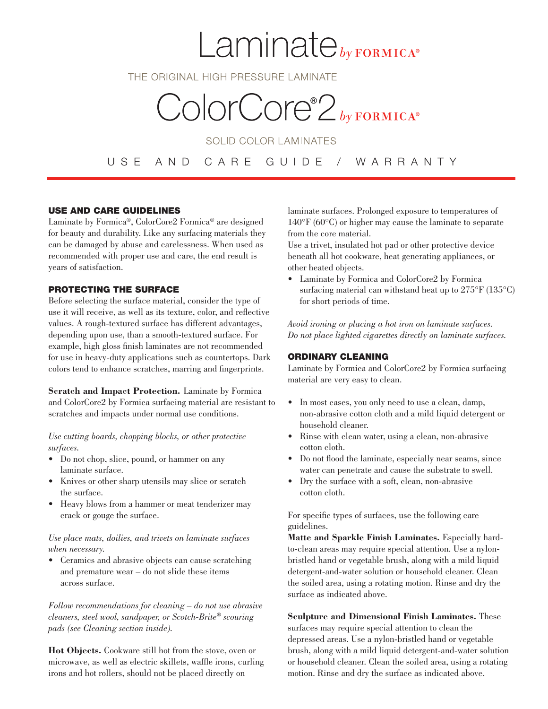# Laminate<sub>by FORMICA®</sub>

THE ORIGINAL HIGH PRESSURE LAMINATE

$$
ColorCore^{\circ}2_{\tiny \rm \it bycronmica^{\circ}}
$$

**SOLID COLOR LAMINATES** 

# USE AND CARE GUIDE / WARRANTY

#### USE AND CARE GUIDELINES

Laminate by Formica®, ColorCore2 Formica® are designed for beauty and durability. Like any surfacing materials they can be damaged by abuse and carelessness. When used as recommended with proper use and care, the end result is years of satisfaction.

#### PROTECTING THE SURFACE

Before selecting the surface material, consider the type of use it will receive, as well as its texture, color, and reflective values. A rough-textured surface has different advantages, depending upon use, than a smooth-textured surface. For example, high gloss finish laminates are not recommended for use in heavy-duty applications such as countertops. Dark colors tend to enhance scratches, marring and fingerprints.

**Scratch and Impact Protection.** Laminate by Formica and ColorCore2 by Formica surfacing material are resistant to scratches and impacts under normal use conditions.

*Use cutting boards, chopping blocks, or other protective surfaces.*

- Do not chop, slice, pound, or hammer on any laminate surface.
- Knives or other sharp utensils may slice or scratch the surface.
- Heavy blows from a hammer or meat tenderizer may crack or gouge the surface.

# *Use place mats, doilies, and trivets on laminate surfaces when necessary.*

• Ceramics and abrasive objects can cause scratching and premature wear – do not slide these items across surface.

*Follow recommendations for cleaning – do not use abrasive cleaners, steel wool, sandpaper, or Scotch-Brite® scouring pads (see Cleaning section inside).*

**Hot Objects.** Cookware still hot from the stove, oven or microwave, as well as electric skillets, waffle irons, curling irons and hot rollers, should not be placed directly on

laminate surfaces. Prolonged exposure to temperatures of 140°F (60°C) or higher may cause the laminate to separate from the core material.

Use a trivet, insulated hot pad or other protective device beneath all hot cookware, heat generating appliances, or other heated objects.

• Laminate by Formica and ColorCore2 by Formica surfacing material can withstand heat up to 275°F (135°C) for short periods of time.

*Avoid ironing or placing a hot iron on laminate surfaces. Do not place lighted cigarettes directly on laminate surfaces.*

# ORDINARY CLEANING

Laminate by Formica and ColorCore2 by Formica surfacing material are very easy to clean.

- In most cases, you only need to use a clean, damp, non-abrasive cotton cloth and a mild liquid detergent or household cleaner.
- Rinse with clean water, using a clean, non-abrasive cotton cloth.
- Do not flood the laminate, especially near seams, since water can penetrate and cause the substrate to swell.
- Dry the surface with a soft, clean, non-abrasive cotton cloth.

For specific types of surfaces, use the following care guidelines.

**Matte and Sparkle Finish Laminates.** Especially hardto-clean areas may require special attention. Use a nylonbristled hand or vegetable brush, along with a mild liquid detergent-and-water solution or household cleaner. Clean the soiled area, using a rotating motion. Rinse and dry the surface as indicated above.

**Sculpture and Dimensional Finish Laminates.** These surfaces may require special attention to clean the depressed areas. Use a nylon-bristled hand or vegetable brush, along with a mild liquid detergent-and-water solution or household cleaner. Clean the soiled area, using a rotating motion. Rinse and dry the surface as indicated above.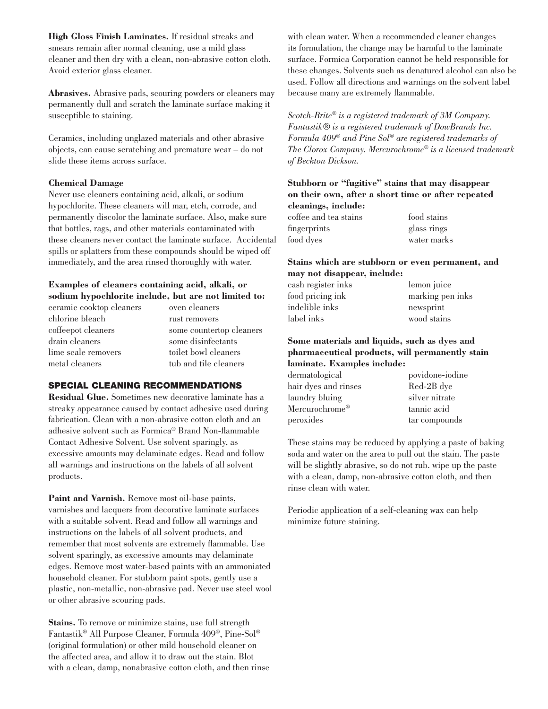**High Gloss Finish Laminates.** If residual streaks and smears remain after normal cleaning, use a mild glass cleaner and then dry with a clean, non-abrasive cotton cloth. Avoid exterior glass cleaner.

**Abrasives.** Abrasive pads, scouring powders or cleaners may permanently dull and scratch the laminate surface making it susceptible to staining.

Ceramics, including unglazed materials and other abrasive objects, can cause scratching and premature wear – do not slide these items across surface.

#### **Chemical Damage**

Never use cleaners containing acid, alkali, or sodium hypochlorite. These cleaners will mar, etch, corrode, and permanently discolor the laminate surface. Also, make sure that bottles, rags, and other materials contaminated with these cleaners never contact the laminate surface. Accidental spills or splatters from these compounds should be wiped off immediately, and the area rinsed thoroughly with water.

# **Examples of cleaners containing acid, alkali, or sodium hypochlorite include, but are not limited to:**

| ceramic cooktop cleaners | oven cleaners            |
|--------------------------|--------------------------|
| chlorine bleach          | rust removers            |
| coffeepot cleaners       | some countertop cleaners |
| drain cleaners           | some disinfectants       |
| lime scale removers      | toilet bowl cleaners     |
| metal cleaners           | tub and tile cleaners    |

# SPECIAL CLEANING RECOMMENDATIONS

**Residual Glue.** Sometimes new decorative laminate has a streaky appearance caused by contact adhesive used during fabrication. Clean with a non-abrasive cotton cloth and an adhesive solvent such as Formica® Brand Non-flammable Contact Adhesive Solvent. Use solvent sparingly, as excessive amounts may delaminate edges. Read and follow all warnings and instructions on the labels of all solvent products.

Paint and Varnish. Remove most oil-base paints, varnishes and lacquers from decorative laminate surfaces with a suitable solvent. Read and follow all warnings and instructions on the labels of all solvent products, and remember that most solvents are extremely flammable. Use solvent sparingly, as excessive amounts may delaminate edges. Remove most water-based paints with an ammoniated household cleaner. For stubborn paint spots, gently use a plastic, non-metallic, non-abrasive pad. Never use steel wool or other abrasive scouring pads.

**Stains.** To remove or minimize stains, use full strength Fantastik® All Purpose Cleaner, Formula 409®, Pine-Sol® (original formulation) or other mild household cleaner on the affected area, and allow it to draw out the stain. Blot with a clean, damp, nonabrasive cotton cloth, and then rinse with clean water. When a recommended cleaner changes its formulation, the change may be harmful to the laminate surface. Formica Corporation cannot be held responsible for these changes. Solvents such as denatured alcohol can also be used. Follow all directions and warnings on the solvent label because many are extremely flammable.

*Scotch-Brite® is a registered trademark of 3M Company. Fantastik® is a registered trademark of DowBrands Inc. Formula 409® and Pine Sol® are registered trademarks of The Clorox Company. Mercurochrome® is a licensed trademark of Beckton Dickson.*

# **Stubborn or "fugitive" stains that may disappear on their own, after a short time or after repeated cleanings, include:**

| coffee and tea stains | food stains |
|-----------------------|-------------|
| fingerprints          | glass rings |
| food dyes             | water marks |

# **Stains which are stubborn or even permanent, and may not disappear, include:**

| cash register inks | lemon juice      |
|--------------------|------------------|
| food pricing ink   | marking pen inks |
| indelible inks     | newsprint        |
| label inks         | wood stains      |
|                    |                  |

#### **Some materials and liquids, such as dyes and pharmaceutical products, will permanently stain laminate. Examples include:**

| dermatological       | povidone-iodine |
|----------------------|-----------------|
| hair dyes and rinses | Red-2B dye      |
| laundry bluing       | silver nitrate  |
| Mercurochrome®       | tannic acid     |
| peroxides            | tar compounds   |
|                      |                 |

These stains may be reduced by applying a paste of baking soda and water on the area to pull out the stain. The paste will be slightly abrasive, so do not rub. wipe up the paste with a clean, damp, non-abrasive cotton cloth, and then rinse clean with water.

Periodic application of a self-cleaning wax can help minimize future staining.